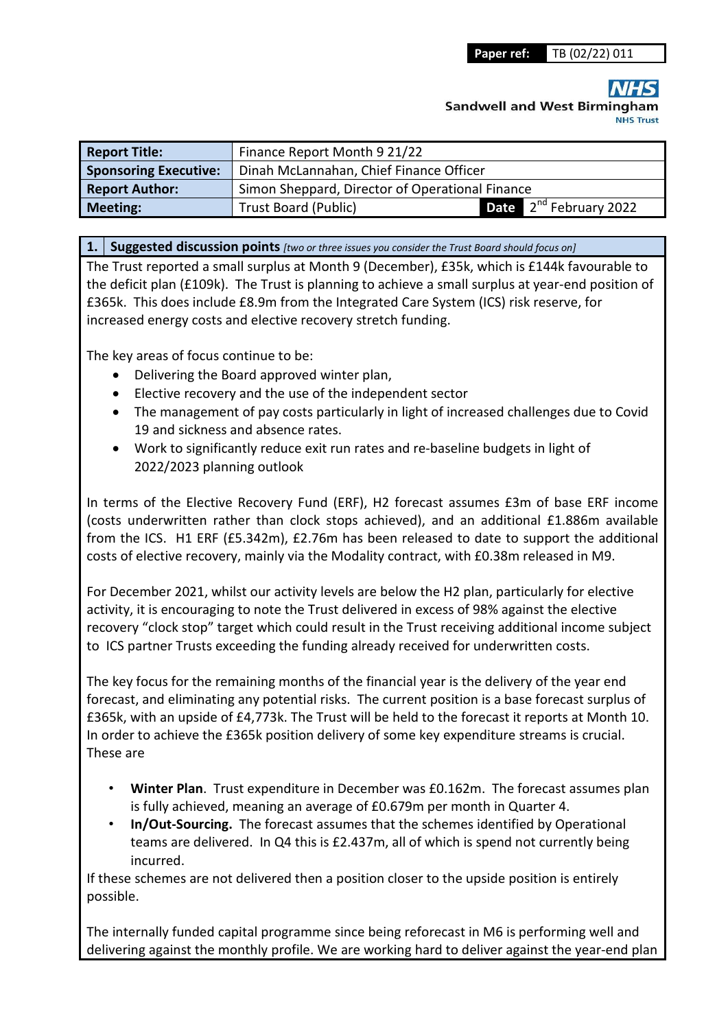**Sandwell and West Birmingl** 

| <b>Report Title:</b>         | Finance Report Month 9 21/22                    |                                    |  |  |  |  |  |  |  |
|------------------------------|-------------------------------------------------|------------------------------------|--|--|--|--|--|--|--|
| <b>Sponsoring Executive:</b> | Dinah McLannahan, Chief Finance Officer         |                                    |  |  |  |  |  |  |  |
| <b>Report Author:</b>        | Simon Sheppard, Director of Operational Finance |                                    |  |  |  |  |  |  |  |
| <b>Meeting:</b>              | <b>Trust Board (Public)</b>                     | <b>Date</b> $2^{nd}$ February 2022 |  |  |  |  |  |  |  |

**1. Suggested discussion points** *[two or three issues you consider the Trust Board should focus on]* 

The Trust reported a small surplus at Month 9 (December), £35k, which is £144k favourable to the deficit plan (£109k). The Trust is planning to achieve a small surplus at year-end position of £365k. This does include £8.9m from the Integrated Care System (ICS) risk reserve, for increased energy costs and elective recovery stretch funding.

The key areas of focus continue to be:

- Delivering the Board approved winter plan,
- Elective recovery and the use of the independent sector
- The management of pay costs particularly in light of increased challenges due to Covid 19 and sickness and absence rates.
- Work to significantly reduce exit run rates and re-baseline budgets in light of 2022/2023 planning outlook

In terms of the Elective Recovery Fund (ERF), H2 forecast assumes £3m of base ERF income (costs underwritten rather than clock stops achieved), and an additional £1.886m available from the ICS. H1 ERF (£5.342m), £2.76m has been released to date to support the additional costs of elective recovery, mainly via the Modality contract, with £0.38m released in M9.

For December 2021, whilst our activity levels are below the H2 plan, particularly for elective activity, it is encouraging to note the Trust delivered in excess of 98% against the elective recovery "clock stop" target which could result in the Trust receiving additional income subject to ICS partner Trusts exceeding the funding already received for underwritten costs.

The key focus for the remaining months of the financial year is the delivery of the year end forecast, and eliminating any potential risks. The current position is a base forecast surplus of £365k, with an upside of £4,773k. The Trust will be held to the forecast it reports at Month 10. In order to achieve the £365k position delivery of some key expenditure streams is crucial. These are

- **Winter Plan**. Trust expenditure in December was £0.162m. The forecast assumes plan is fully achieved, meaning an average of £0.679m per month in Quarter 4.
- **In/Out-Sourcing.** The forecast assumes that the schemes identified by Operational teams are delivered. In Q4 this is £2.437m, all of which is spend not currently being incurred.

If these schemes are not delivered then a position closer to the upside position is entirely possible.

The internally funded capital programme since being reforecast in M6 is performing well and delivering against the monthly profile. We are working hard to deliver against the year-end plan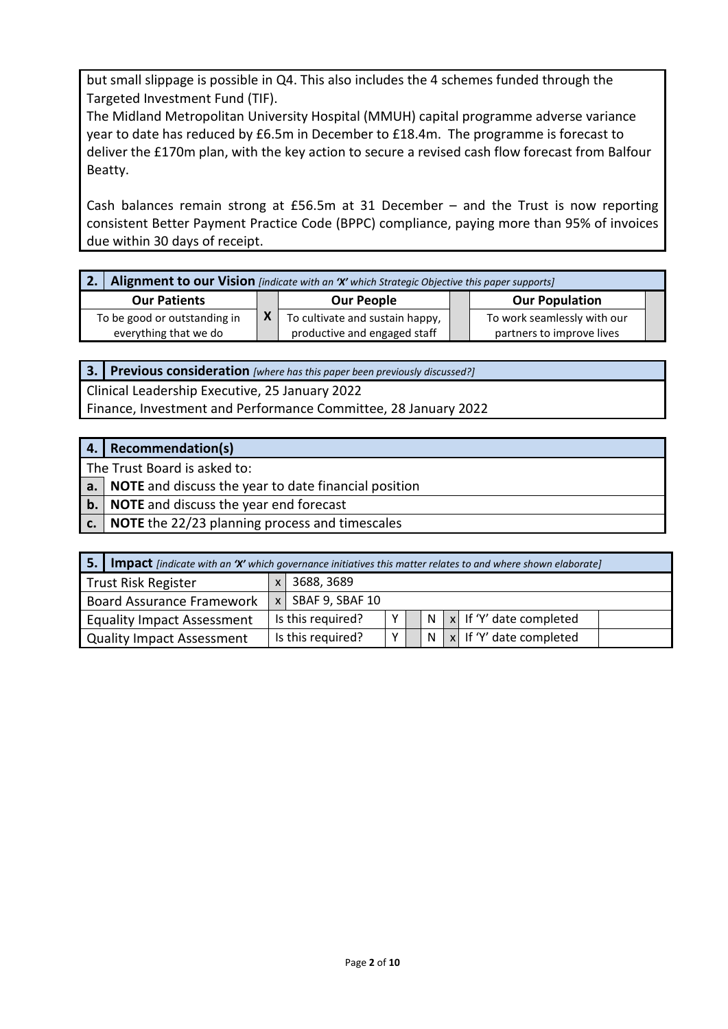but small slippage is possible in Q4. This also includes the 4 schemes funded through the Targeted Investment Fund (TIF).

The Midland Metropolitan University Hospital (MMUH) capital programme adverse variance year to date has reduced by £6.5m in December to £18.4m. The programme is forecast to deliver the £170m plan, with the key action to secure a revised cash flow forecast from Balfour Beatty.

Cash balances remain strong at £56.5m at 31 December – and the Trust is now reporting consistent Better Payment Practice Code (BPPC) compliance, paying more than 95% of invoices due within 30 days of receipt.

| Alignment to our Vision [indicate with an 'X' which Strategic Objective this paper supports] |  |                                 |  |                             |  |  |  |  |  |  |  |  |  |
|----------------------------------------------------------------------------------------------|--|---------------------------------|--|-----------------------------|--|--|--|--|--|--|--|--|--|
| <b>Our Patients</b>                                                                          |  | <b>Our People</b>               |  | <b>Our Population</b>       |  |  |  |  |  |  |  |  |  |
| To be good or outstanding in                                                                 |  | To cultivate and sustain happy, |  | To work seamlessly with our |  |  |  |  |  |  |  |  |  |
| everything that we do                                                                        |  | productive and engaged staff    |  | partners to improve lives   |  |  |  |  |  |  |  |  |  |

**3. Previous consideration** *[where has this paper been previously discussed?]*

Clinical Leadership Executive, 25 January 2022 Finance, Investment and Performance Committee, 28 January 2022

#### **4. Recommendation(s)**

The Trust Board is asked to:

**a. NOTE** and discuss the year to date financial position

**b. NOTE** and discuss the year end forecast

**c. NOTE** the 22/23 planning process and timescales

| 5. I                              |                     |                   |              |  |   |  | <b>Impact</b> [indicate with an 'X' which governance initiatives this matter relates to and where shown elaborate] |  |
|-----------------------------------|---------------------|-------------------|--------------|--|---|--|--------------------------------------------------------------------------------------------------------------------|--|
| <b>Trust Risk Register</b>        |                     | 3688, 3689        |              |  |   |  |                                                                                                                    |  |
| <b>Board Assurance Framework</b>  | $x$ SBAF 9, SBAF 10 |                   |              |  |   |  |                                                                                                                    |  |
| <b>Equality Impact Assessment</b> |                     | Is this required? | v            |  | N |  | $\vert x \vert$ If 'Y' date completed                                                                              |  |
| <b>Quality Impact Assessment</b>  |                     | Is this required? | $\checkmark$ |  | N |  | $x$ If 'Y' date completed                                                                                          |  |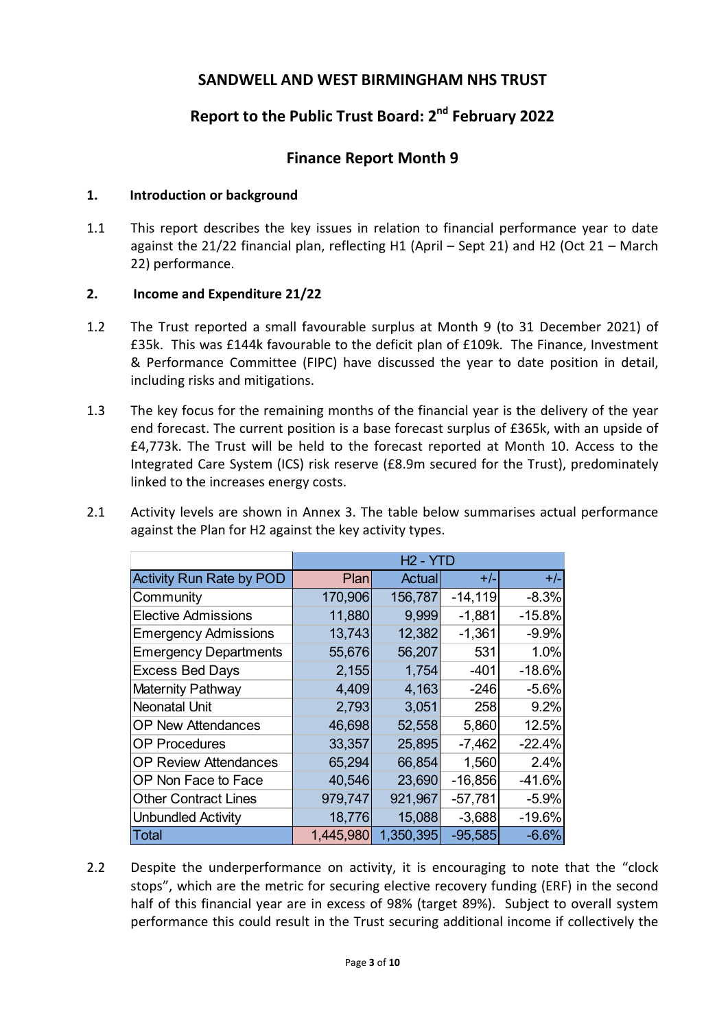#### **SANDWELL AND WEST BIRMINGHAM NHS TRUST**

### **Report to the Public Trust Board: 2nd February 2022**

#### **Finance Report Month 9**

#### **1. Introduction or background**

1.1 This report describes the key issues in relation to financial performance year to date against the 21/22 financial plan, reflecting H1 (April – Sept 21) and H2 (Oct 21 – March 22) performance.

#### **2. Income and Expenditure 21/22**

- 1.2 The Trust reported a small favourable surplus at Month 9 (to 31 December 2021) of £35k. This was £144k favourable to the deficit plan of £109k. The Finance, Investment & Performance Committee (FIPC) have discussed the year to date position in detail, including risks and mitigations.
- 1.3 The key focus for the remaining months of the financial year is the delivery of the year end forecast. The current position is a base forecast surplus of £365k, with an upside of £4,773k. The Trust will be held to the forecast reported at Month 10. Access to the Integrated Care System (ICS) risk reserve (£8.9m secured for the Trust), predominately linked to the increases energy costs.
- 2.1 Activity levels are shown in Annex 3. The table below summarises actual performance against the Plan for H2 against the key activity types.

|                                 |           | H <sub>2</sub> - YTD |           |          |
|---------------------------------|-----------|----------------------|-----------|----------|
| <b>Activity Run Rate by POD</b> | Plan      | Actual               | $+/-$     | $+/-$    |
| Community                       | 170,906   | 156,787              | $-14,119$ | $-8.3%$  |
| <b>Elective Admissions</b>      | 11,880    | 9,999                | $-1,881$  | $-15.8%$ |
| <b>Emergency Admissions</b>     | 13,743    | 12,382               | $-1,361$  | $-9.9%$  |
| <b>Emergency Departments</b>    | 55,676    | 56,207               | 531       | 1.0%     |
| <b>Excess Bed Days</b>          | 2,155     | 1,754                | $-401$    | $-18.6%$ |
| Maternity Pathway               | 4,409     | 4,163                | $-246$    | $-5.6%$  |
| <b>Neonatal Unit</b>            | 2,793     | 3,051                | 258       | 9.2%     |
| <b>OP New Attendances</b>       | 46,698    | 52,558               | 5,860     | 12.5%    |
| <b>OP Procedures</b>            | 33,357    | 25,895               | $-7,462$  | $-22.4%$ |
| <b>OP Review Attendances</b>    | 65,294    | 66,854               | 1,560     | 2.4%     |
| OP Non Face to Face             | 40,546    | 23,690               | $-16,856$ | $-41.6%$ |
| <b>Other Contract Lines</b>     | 979,747   | 921,967              | $-57,781$ | $-5.9%$  |
| <b>Unbundled Activity</b>       | 18,776    | 15,088               | $-3,688$  | $-19.6%$ |
| <b>Total</b>                    | 1,445,980 | 1,350,395            | $-95,585$ | $-6.6%$  |

2.2 Despite the underperformance on activity, it is encouraging to note that the "clock stops", which are the metric for securing elective recovery funding (ERF) in the second half of this financial year are in excess of 98% (target 89%). Subject to overall system performance this could result in the Trust securing additional income if collectively the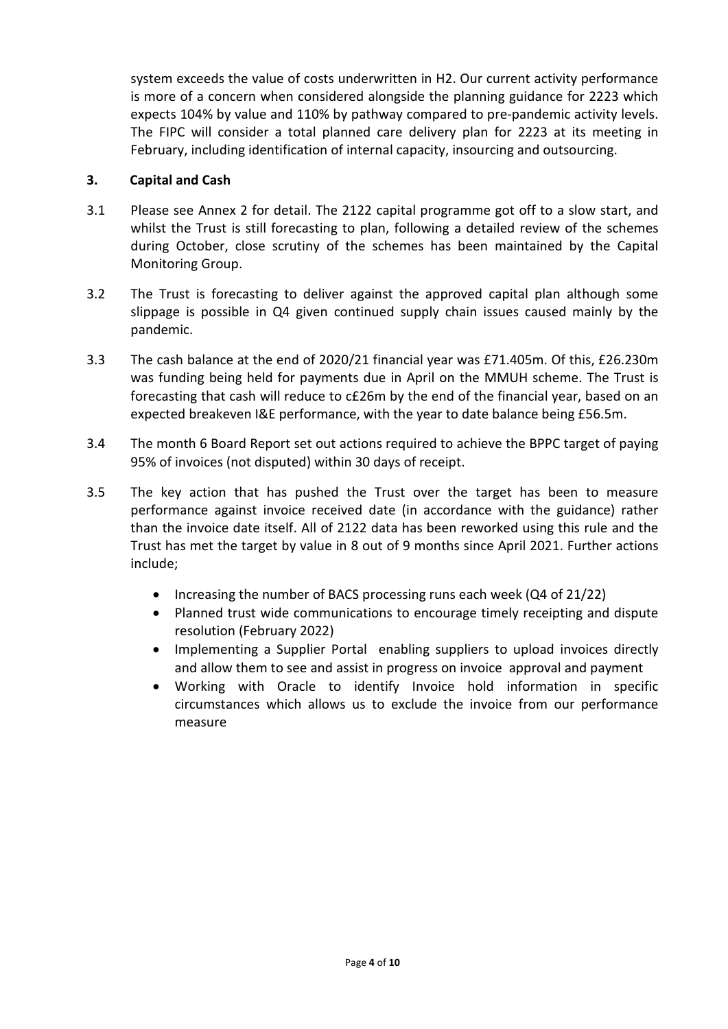system exceeds the value of costs underwritten in H2. Our current activity performance is more of a concern when considered alongside the planning guidance for 2223 which expects 104% by value and 110% by pathway compared to pre-pandemic activity levels. The FIPC will consider a total planned care delivery plan for 2223 at its meeting in February, including identification of internal capacity, insourcing and outsourcing.

#### **3. Capital and Cash**

- 3.1 Please see Annex 2 for detail. The 2122 capital programme got off to a slow start, and whilst the Trust is still forecasting to plan, following a detailed review of the schemes during October, close scrutiny of the schemes has been maintained by the Capital Monitoring Group.
- 3.2 The Trust is forecasting to deliver against the approved capital plan although some slippage is possible in Q4 given continued supply chain issues caused mainly by the pandemic.
- 3.3 The cash balance at the end of 2020/21 financial year was £71.405m. Of this, £26.230m was funding being held for payments due in April on the MMUH scheme. The Trust is forecasting that cash will reduce to c£26m by the end of the financial year, based on an expected breakeven I&E performance, with the year to date balance being £56.5m.
- 3.4 The month 6 Board Report set out actions required to achieve the BPPC target of paying 95% of invoices (not disputed) within 30 days of receipt.
- 3.5 The key action that has pushed the Trust over the target has been to measure performance against invoice received date (in accordance with the guidance) rather than the invoice date itself. All of 2122 data has been reworked using this rule and the Trust has met the target by value in 8 out of 9 months since April 2021. Further actions include;
	- Increasing the number of BACS processing runs each week (Q4 of 21/22)
	- Planned trust wide communications to encourage timely receipting and dispute resolution (February 2022)
	- Implementing a Supplier Portal enabling suppliers to upload invoices directly and allow them to see and assist in progress on invoice approval and payment
	- Working with Oracle to identify Invoice hold information in specific circumstances which allows us to exclude the invoice from our performance measure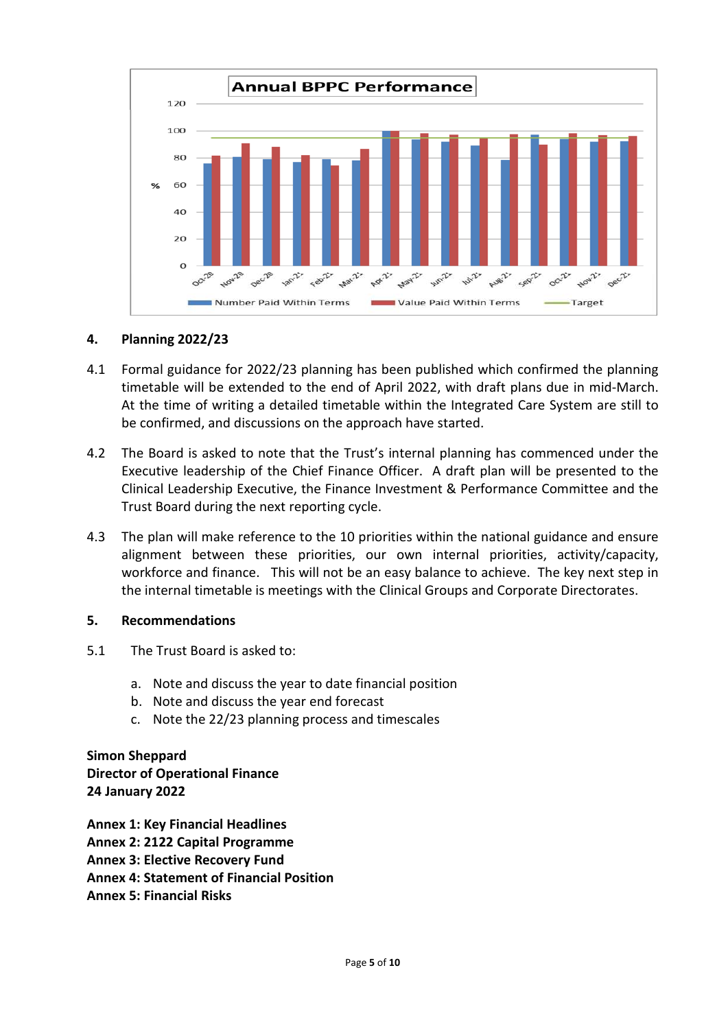

#### **4. Planning 2022/23**

- 4.1 Formal guidance for 2022/23 planning has been published which confirmed the planning timetable will be extended to the end of April 2022, with draft plans due in mid-March. At the time of writing a detailed timetable within the Integrated Care System are still to be confirmed, and discussions on the approach have started.
- 4.2 The Board is asked to note that the Trust's internal planning has commenced under the Executive leadership of the Chief Finance Officer. A draft plan will be presented to the Clinical Leadership Executive, the Finance Investment & Performance Committee and the Trust Board during the next reporting cycle.
- 4.3 The plan will make reference to the 10 priorities within the national guidance and ensure alignment between these priorities, our own internal priorities, activity/capacity, workforce and finance. This will not be an easy balance to achieve. The key next step in the internal timetable is meetings with the Clinical Groups and Corporate Directorates.

#### **5. Recommendations**

- 5.1 The Trust Board is asked to:
	- a. Note and discuss the year to date financial position
	- b. Note and discuss the year end forecast
	- c. Note the 22/23 planning process and timescales

**Simon Sheppard Director of Operational Finance 24 January 2022** 

**Annex 1: Key Financial Headlines Annex 2: 2122 Capital Programme Annex 3: Elective Recovery Fund Annex 4: Statement of Financial Position Annex 5: Financial Risks**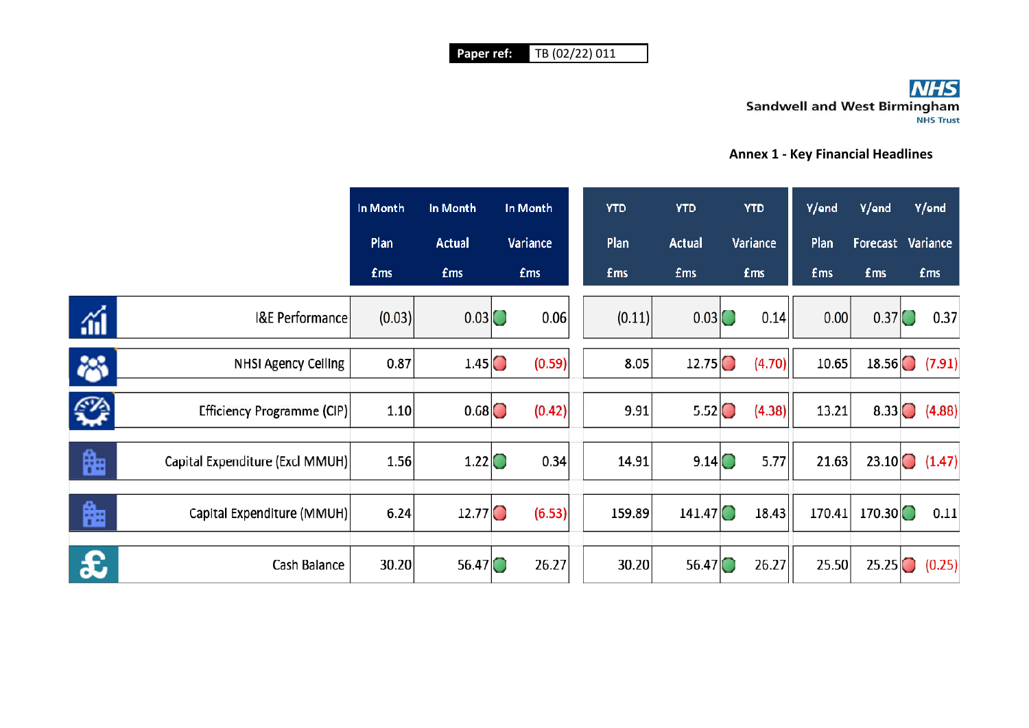## **NHS Sandwell and West Birmingham**

#### **Annex 1 - Key Financial Headlines**

|              |                                 | In Month<br>In Month |                                      | In Month               |        |  | <b>YTD</b> | <b>YTD</b>          | <b>YTD</b> |          | Y/end      | Y/end                                | Y/end          |
|--------------|---------------------------------|----------------------|--------------------------------------|------------------------|--------|--|------------|---------------------|------------|----------|------------|--------------------------------------|----------------|
|              |                                 | Plan                 | <b>Actual</b>                        | Variance<br><b>£ms</b> |        |  | Plan       | <b>Actual</b>       |            | Variance | Plan       | Forecast                             | Variance       |
|              |                                 | <b>£ms</b>           | <b>£ms</b>                           |                        |        |  | <b>fms</b> | <b>fms</b>          | <b>£ms</b> |          | <b>£ms</b> | <b>fms</b>                           | <b>£ms</b>     |
| áÍ           | <b>I&amp;E Performance</b>      | (0.03)               | $0.03$ <sup><math>\circ</math></sup> |                        | 0.06   |  | (0.11)     | 0.03                |            | 0.14     | 0.00       | $0.37$ <sup><math>\odot</math></sup> | 0.37           |
| 裕            | <b>NHSI Agency Ceiling</b>      | 0.87                 | $1.45$ <sup>O</sup>                  |                        | (0.59) |  | 8.05       | 12.75               |            | (4.70)   | 10.65      |                                      | $18.56$ (7.91) |
| ☎            | Efficiency Programme (CIP)      | 1.10                 | 0.68                                 |                        | (0.42) |  | 9.91       | $5.52$ <sup>O</sup> |            | (4.38)   | 13.21      |                                      | 8.33 $(4.88)$  |
| 臨            | Capital Expenditure (Excl MMUH) | 1.56                 | 1.22                                 |                        | 0.34   |  | 14.91      | 9.14                |            | 5.77     | 21.63      | 23.10                                | (1.47)         |
| 晦            | Capital Expenditure (MMUH)      | 6.24                 | 12.77                                |                        | (6.53) |  | 159.89     | 141.47              |            | 18.43    | 170.41     | 170.30                               | 0.11           |
| $\mathbf{f}$ | Cash Balance                    | 30.20                | 56.47                                |                        | 26.27  |  | 30.20      | 56.47               |            | 26.27    | 25.50      | 25.25                                | (0.25)         |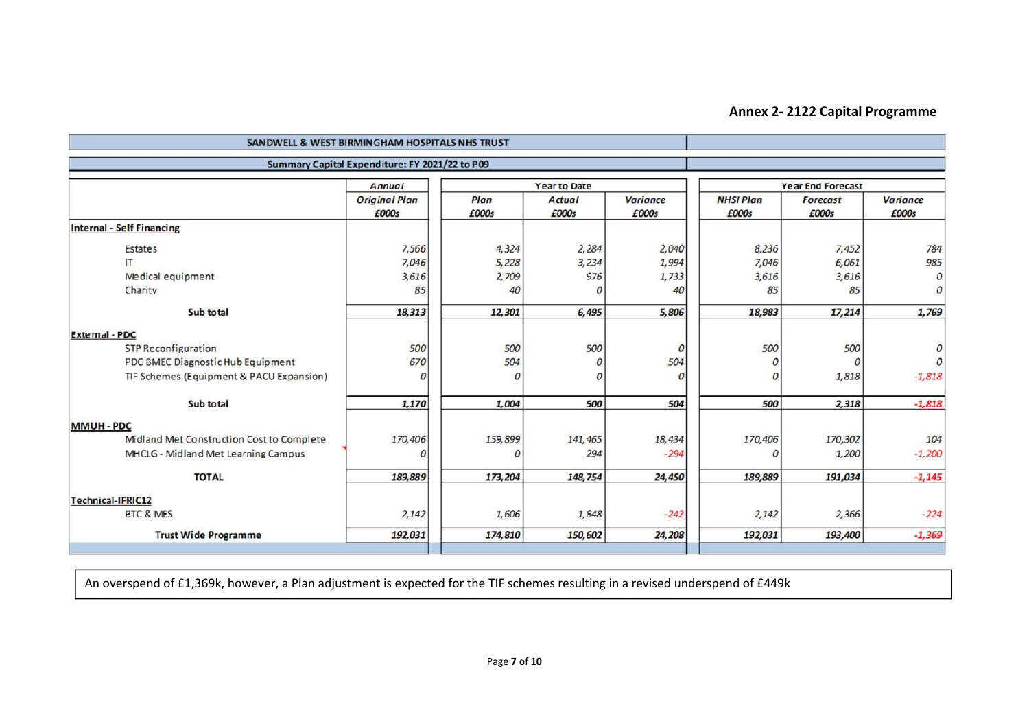#### **Annex 2- 2122 Capital Programme**

| SANDWELL & WEST BIRMINGHAM HOSPITALS NHS TRUST |                                                |               |                        |                          |                           |                          |                   |  |  |
|------------------------------------------------|------------------------------------------------|---------------|------------------------|--------------------------|---------------------------|--------------------------|-------------------|--|--|
|                                                | Summary Capital Expenditure: FY 2021/22 to P09 |               |                        |                          |                           |                          |                   |  |  |
|                                                | <b>Annual</b>                                  |               | <b>Year to Date</b>    |                          | <b>Year End Forecast</b>  |                          |                   |  |  |
|                                                | <b>Original Plan</b><br>£000s                  | Plan<br>£000s | <b>Actual</b><br>£000s | <b>Variance</b><br>£000s | <b>NHSI Plan</b><br>£000s | <b>Forecast</b><br>£000s | Variance<br>£000s |  |  |
| <b>Internal - Self Financing</b>               |                                                |               |                        |                          |                           |                          |                   |  |  |
| <b>Estates</b>                                 | 7,566                                          | 4,324         | 2,284                  | 2,040                    | 8,236                     | 7,452                    | 784               |  |  |
| IT                                             | 7,046                                          | 5,228         | 3,234                  | 1,994                    | 7,046                     | 6,061                    | 985               |  |  |
| Medical equipment                              | 3,616                                          | 2,709         | 976                    | 1,733                    | 3,616                     | 3,616                    | 0                 |  |  |
| Charity                                        | 85                                             | 40            | 0                      | 40                       | 85                        | 85                       | 0                 |  |  |
| Sub total                                      | 18,313                                         | 12,301        | 6,495                  | 5,806                    | 18,983                    | 17,214                   | 1,769             |  |  |
| <b>External - PDC</b>                          |                                                |               |                        |                          |                           |                          |                   |  |  |
| <b>STP Reconfiguration</b>                     | 500                                            | 500           | 500                    | $\boldsymbol{0}$         | 500                       | 500                      |                   |  |  |
| PDC BMEC Diagnostic Hub Equipment              | 670                                            | 504           | 0                      | 504                      | $\mathcal{O}$             | $\mathcal{O}$            | $\Omega$          |  |  |
| TIF Schemes (Equipment & PACU Expansion)       | 0                                              | 0             | $\Omega$               | $\mathcal{O}$            | $\overline{O}$            | 1,818                    | $-1,818$          |  |  |
| Sub total                                      | 1,170                                          | 1,004         | 500                    | 504                      | 500                       | 2,318                    | $-1,818$          |  |  |
| <b>MMUH - PDC</b>                              |                                                |               |                        |                          |                           |                          |                   |  |  |
| Midland Met Construction Cost to Complete      | 170,406                                        | 159,899       | 141,465                | 18,434                   | 170,406                   | 170,302                  | 104               |  |  |
| MHCLG - Midland Met Learning Campus            | O                                              | O             | 294                    | $-294$                   | $\mathcal{O}$             | 1,200                    | $-1,200$          |  |  |
| <b>TOTAL</b>                                   | 189,889                                        | 173,204       | 148,754                | 24,450                   | 189,889                   | 191,034                  | $-1,145$          |  |  |
| <b>Technical-IFRIC12</b>                       |                                                |               |                        |                          |                           |                          |                   |  |  |
| <b>BTC &amp; MES</b>                           | 2,142                                          | 1,606         | 1,848                  | $-242$                   | 2,142                     | 2,366                    | $-224$            |  |  |
| <b>Trust Wide Programme</b>                    | 192,031                                        | 174,810       | 150,602                | 24,208                   | 192,031                   | 193,400                  | $-1,369$          |  |  |
|                                                |                                                |               |                        |                          |                           |                          |                   |  |  |

An overspend of £1,369k, however, a Plan adjustment is expected for the TIF schemes resulting in a revised underspend of £449k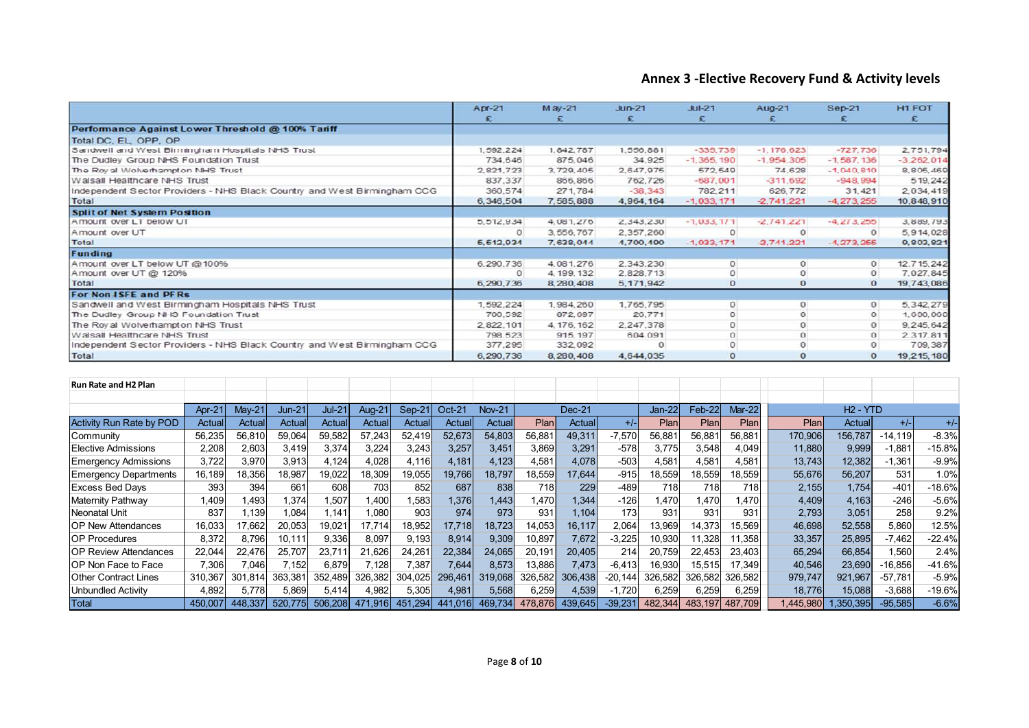#### **Annex 3 -Elective Recovery Fund & Activity levels**

|                                                                          | $Apr-21$    | M ay-21     | $Jun-21$  | $Jul-21$     | $Aug-21$     | <b>Sep-21</b>  | H1 FOT       |
|--------------------------------------------------------------------------|-------------|-------------|-----------|--------------|--------------|----------------|--------------|
|                                                                          | £           |             | £         | £            |              |                | £            |
| Performance Against Lower Threshold @ 100% Tariff                        |             |             |           |              |              |                |              |
| Total DC, EL, OPP, OP                                                    |             |             |           |              |              |                |              |
| Sandwell and West Birmingham Hospitals NHS Trust                         | 1,592,224   | 1, 842, 787 | 1,556,881 | $-335,739$   | $-1,176,623$ | $-727.736$     | 2,751,794    |
| The Dudley Group NHS Foundation Trust                                    | 734,646     | 875,046     | 34,925    | $-1,365,190$ | $-1,954,305$ | $-1,587,136$   | $-3,262,014$ |
| The Roy al Wolverhampton NHS Trust                                       | 2.821.723   | 3,729,405   | 2.647.975 | 572,549      | 74,628       | $-1,040,810$   | 8, 805, 469  |
| Walsall Healthcare NHS Trust                                             | 837, 337    | 866,866     | 762.726   | $-687,001$   | $-311.692$   | $-948,994$     | 519,242      |
| Independent Sector Providers - NHS Black Country and West Birmingham CCG | 360.574     | 271,784     | $-38,343$ | 782.211      | 626,772      | 31,421         | 2.034.419    |
| Total                                                                    | 6, 346, 504 | 7,585,888   | 4,964,164 | $-1,033,171$ | $-2,741,221$ | $-4, 273, 255$ | 10,848,910   |
| <b>Split of Net System Position</b>                                      |             |             |           |              |              |                |              |
| Amount over LT below UT                                                  | 5, 512, 934 | 4,081,276   | 2,343,230 | $-1,033,171$ | $-2,741,221$ | $-4, 273, 255$ | 3, 889, 793  |
| Amount over UT                                                           | $\Omega$    | 3,556,767   | 2,357,260 |              |              | $\circ$        | 5,914,028    |
| Total                                                                    | 5,512,934   | 7,638,044   | 4,700,490 | $-1,033,171$ | $-2,741,221$ | $-4,273,255$   | 9,803,821    |
| Funding                                                                  |             |             |           |              |              |                |              |
| Amount over LT below UT @100%                                            | 6,290.736   | 4,081,276   | 2.343.230 | $\Omega$     | $\Omega$     | $\Omega$       | 12,715,242   |
| Amount over UT @ 120%                                                    | $\circ$     | 4, 199, 132 | 2,828,713 | $\circ$      | 0            | $\circ$        | 7.027.845    |
| Total                                                                    | 6,290,736   | 8,280,408   | 5,171,942 | $\circ$      | $\circ$      | $\mathbf{o}$   | 19,743,086   |
| For Non J SFE and PFRs                                                   |             |             |           |              |              |                |              |
| Sandwell and West Birmingham Hospitals NHS Trust                         | 1,592,224   | 1,984,260   | 1,765,795 | $\circ$      | $\circ$      | $\circ$        | 5, 342, 279  |
| The Dudley Group NHS Foundation Trust                                    | 700,592     | 872,697     | 26,771    | $\circ$      | $\circ$      | $\circ$        | 1,600,060    |
| The Roy al Wolverhampton NHS Trust                                       | 2.822.101   | 4, 176, 162 | 2.247.378 | $\circ$      | $\Omega$     | $\circ$        | 9, 245, 642  |
| Walsall Healthcare NHS Trust                                             | 798,523     | 915, 197    | 604.091   | $\Omega$     | $\circ$      | $\circ$        | 2.317.811    |
| Independent Sector Providers - NHS Black Country and West Birmingham CCG | 377,295     | 332.092     |           | $\circ$      | $\Omega$     | $\circ$        | 709,387      |
| Total                                                                    | 6,290,736   | 8,280,408   | 4,644,035 | $\circ$      | $\circ$      | $\mathbf{o}$   | 19,215,180   |

| <b>Run Rate and H2 Plan</b>     |         |         |         |               |         |         |          |               |         |          |           |         |         |         |          |            |           |          |
|---------------------------------|---------|---------|---------|---------------|---------|---------|----------|---------------|---------|----------|-----------|---------|---------|---------|----------|------------|-----------|----------|
|                                 |         |         |         |               |         |         |          |               |         |          |           |         |         |         |          |            |           |          |
|                                 | Apr-21  | Ma      | Jun-21  | <b>Jul-21</b> | Aug-21  | Sep-21  | $Oct-21$ | <b>Nov-21</b> |         | $Dec-21$ |           | Jan-22  | Feb-22  | Mar-22  |          | $H2 - YTD$ |           |          |
| <b>Activity Run Rate by POD</b> | Actuall | Actual  | Actuall | Actual        | Actual  | Actual  | Actual   | <b>Actual</b> | Plan    | Actual   |           | Plan    | Plan    | Plan    | Planl    | Actual     | $+/-$     | $+/-$    |
| Community                       | 56,235  | 56,810  | 59,064  | 59,582        | 57,243  | 52,419  | 52,673   | 54,803        | 56,881  | 49,311   | $-7,570$  | 56,881  | 56,881  | 56,88   | 170,906  | 156,787    | $-14,119$ | $-8.3%$  |
| Elective Admissions             | 2,208   | 2,603   | 3,419   | 3,374         | 3,224   | 3,243   | 3,257    | 3,451         | 3,869   | 3,291    | $-578$    | 3,775   | 3,548   | 4,049   | 11,880   | 9,999      | $-1,881$  | $-15.8%$ |
| <b>Emergency Admissions</b>     | 3,722   | 3,970   | 3,913   | 4,124         | 4,028   | 4.116   | 4,181    | 4,123         | 4,581   | 4.078    | $-503$    | 4,581   | 4,581   | 4,581   | 13,743   | 12,382     | $-1,361$  | $-9.9%$  |
| <b>Emergency Departments</b>    | 16,189  | 18,356  | 18,987  | 19,022        | 18,309  | 19,055  | 19,766   | 18,797        | 18,559  | 17,644   | $-915$    | 18,559  | 18,559  | 18,559  | 55,676   | 56,207     | 531       | 1.0%     |
| <b>Excess Bed Days</b>          | 393     | 394     | 661     | 608           | 703     | 852     | 687      | 838           | 718     | 229      | $-489$    | 718     | 718     | 7181    | 2,155    | 1,754      | $-401$    | $-18.6%$ |
| Maternity Pathway               | 1,409   | .493    | 1,374   | .507          | .400    | .583    | 1,376    | 1,443         | 1,470   | .344     | $-126$    | .470    | 1,470   | .470    | 4,409    | 4,163      | $-246$    | $-5.6%$  |
| Neonatal Unit                   | 837     | .139    | 1,084   | 1.141         | 1,080   | 903     | 974      | 973           | 931     | 1.104    | 173       | 931     | 931     | 931     | 2,793    | 3,051      | 258       | 9.2%     |
| <b>OP New Attendances</b>       | 16,033  | 17,662  | 20,053  | 19,021        | 17,714  | 18,952  | 17,718   | 18,723        | 14,053  | 16,117   | 2,064     | 13,969  | 14,373  | 15,569  | 46,698   | 52,558     | 5,860     | 12.5%    |
| <b>OP Procedures</b>            | 8,372   | 8,796   | 10,111  | 9,336         | 8,097   | 9,193   | 8,914    | 9,309         | 10,897  | 7,672    | $-3,225$  | 10,930  | 11,328  | 11,358  | 33,357   | 25,895     | $-7,462$  | $-22.4%$ |
| <b>IOP Review Attendances</b>   | 22,044  | 22,476  | 25,707  | 23,711        | 21,626  | 24,261  | 22,384   | 24,065        | 20,191  | 20,405   | 214       | 20,759  | 22,453  | 23,403  | 65,294   | 66,854     | 1,560     | 2.4%     |
| OP Non Face to Face             | 7,306   | 7,046   | 7,152   | 6,879         | 7,128   | 7,387   | 7,644    | 8,573         | 13,886  | 7,473    | $-6,413$  | 16,930  | 15,515  | 17,349  | 40,546   | 23,690     | $-16,856$ | $-41.6%$ |
| <b>Other Contract Lines</b>     | 310.367 | 301.814 | 363.381 | 352.489       | 326.382 | 304.025 | 296.461  | 319.068       | 326.582 | 306.438  | $-20.144$ | 326.582 | 326.582 | 326.582 | 979,747  | 921,967    | $-57,781$ | $-5.9%$  |
| Unbundled Activity              | 4,892   | 5.778   | 5,869   | 5,414         | 4,982   | 5,305   | 4,981    | 5,568         | 6,259   | 4,539    | $-1.720$  | 6,259   | 6,259   | 6,259   | 18,776   | 15,088     | $-3,688$  | $-19.6%$ |
| Total                           | 450.007 | 448.337 | 520.775 | 506.208       | 471.916 | 451.294 | 441.016  | 469.734       | 478.876 | 439.645  | $-39.23'$ | 482.344 | 483.197 | 487.709 | .445.980 | 1.350.395  | $-95,585$ | $-6.6%$  |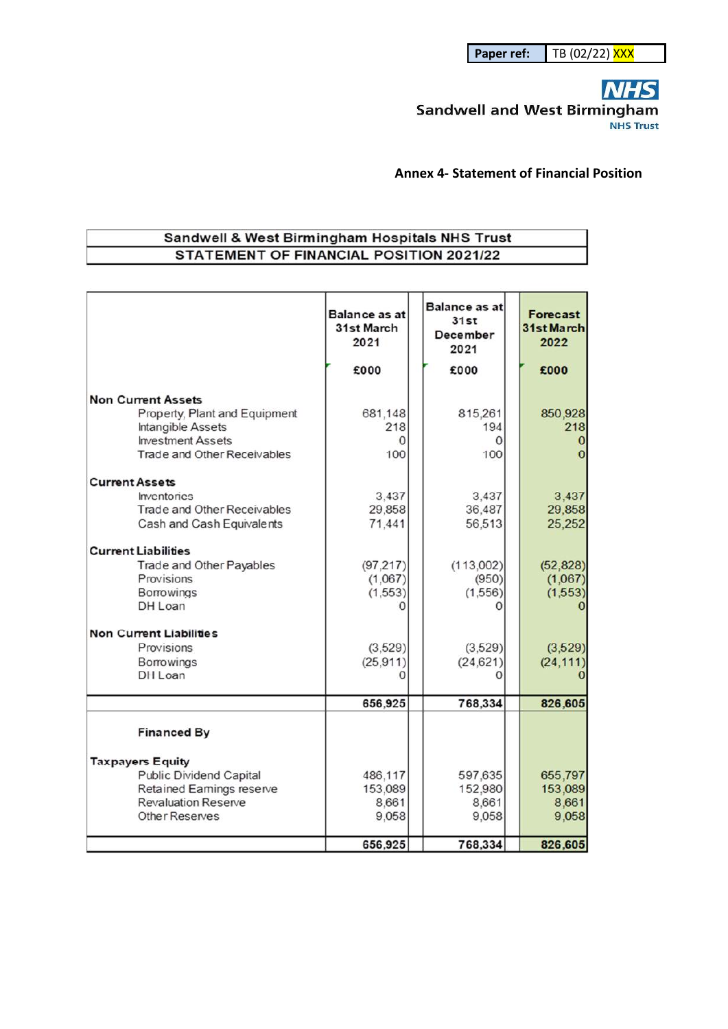**NHS Sandwell and West Birmingham NHS Trust** 

**Annex 4- Statement of Financial Position** 

#### Sandwell & West Birmingham Hospitals NHS Trust STATEMENT OF FINANCIAL POSITION 2021/22

|                                                                        | <b>Balance as at</b><br>31st March<br>2021 | <b>Balance as at</b><br>31st<br>December<br>2021 | <b>Forecast</b><br>31st March<br>2022 |
|------------------------------------------------------------------------|--------------------------------------------|--------------------------------------------------|---------------------------------------|
|                                                                        | £000                                       | £000                                             | £000                                  |
| <b>Non Current Assets</b>                                              |                                            |                                                  |                                       |
| Property, Plant and Equipment                                          | 681,148                                    | 815,261                                          | 850,928                               |
| Intangible Assets<br><b>Investment Assets</b>                          | 218<br>0                                   | 194<br>0                                         | 218                                   |
| Trade and Other Receivables                                            | 100                                        | 100                                              |                                       |
|                                                                        |                                            |                                                  |                                       |
| <b>Current Assets</b>                                                  |                                            |                                                  |                                       |
| <i><u><b>Inventories</b></u></i><br><b>Trade and Other Receivables</b> | 3.437<br>29,858                            | 3,437<br>36,487                                  | 3,437<br>29,858                       |
| Cash and Cash Equivalents                                              | 71.441                                     | 56,513                                           | 25,252                                |
| <b>Current Liabilities</b>                                             |                                            |                                                  |                                       |
| Trade and Other Payables                                               | (97.217)                                   | (113,002)                                        | (52, 828)                             |
| Provisions                                                             | (1,067)                                    | (950)                                            | (1,067)                               |
| <b>Borrowings</b>                                                      | (1,553)                                    | (1,556)                                          | (1,553)                               |
| DH Loan                                                                |                                            |                                                  |                                       |
| <b>Non Current Liabilities</b>                                         |                                            |                                                  |                                       |
| <b>Provisions</b>                                                      | (3, 529)                                   | (3, 529)                                         | (3,529)                               |
| <b>Borrowings</b>                                                      | (25, 911)                                  | (24, 621)                                        | (24, 111)                             |
| DH Loan                                                                |                                            |                                                  |                                       |
|                                                                        | 656,925                                    | 768,334                                          | 826,605                               |
| <b>Financed By</b>                                                     |                                            |                                                  |                                       |
|                                                                        |                                            |                                                  |                                       |
| <b>Taxpayers Equity</b><br><b>Public Dividend Capital</b>              | 486,117                                    | 597,635                                          | 655,797                               |
| Retained Eamings reserve                                               | 153,089                                    | 152,980                                          | 153,089                               |
| <b>Revaluation Reserve</b>                                             | 8,661                                      | 8,661                                            | 8,661                                 |
| Other Reserves                                                         | 9,058                                      | 9,058                                            | 9,058                                 |
|                                                                        | 656,925                                    | 768,334                                          | 826,605                               |